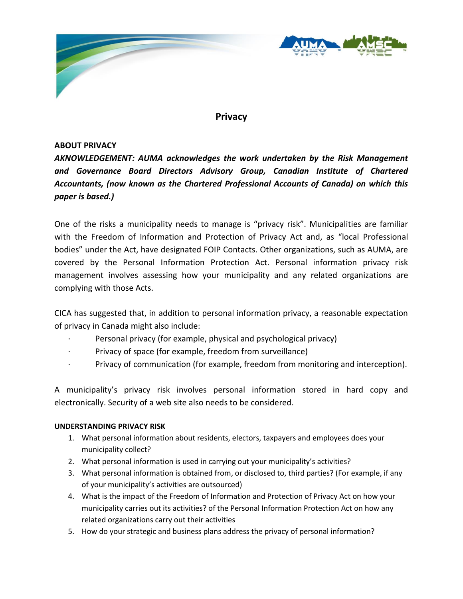

# **Privacy**

# **ABOUT PRIVACY**

*AKNOWLEDGEMENT: AUMA acknowledges the work undertaken by the Risk Management and Governance Board Directors Advisory Group, Canadian Institute of Chartered Accountants, (now known as the Chartered Professional Accounts of Canada) on which this paper is based.)*

One of the risks a municipality needs to manage is "privacy risk". Municipalities are familiar with the Freedom of Information and Protection of Privacy Act and, as "local Professional bodies" under the Act, have designated FOIP Contacts. Other organizations, such as AUMA, are covered by the Personal Information Protection Act. Personal information privacy risk management involves assessing how your municipality and any related organizations are complying with those Acts.

CICA has suggested that, in addition to personal information privacy, a reasonable expectation of privacy in Canada might also include:

- Personal privacy (for example, physical and psychological privacy)
- Privacy of space (for example, freedom from surveillance)
- · Privacy of communication (for example, freedom from monitoring and interception).

A municipality's privacy risk involves personal information stored in hard copy and electronically. Security of a web site also needs to be considered.

# **UNDERSTANDING PRIVACY RISK**

- 1. What personal information about residents, electors, taxpayers and employees does your municipality collect?
- 2. What personal information is used in carrying out your municipality's activities?
- 3. What personal information is obtained from, or disclosed to, third parties? (For example, if any of your municipality's activities are outsourced)
- 4. What is the impact of the Freedom of Information and Protection of Privacy Act on how your municipality carries out its activities? of the Personal Information Protection Act on how any related organizations carry out their activities
- 5. How do your strategic and business plans address the privacy of personal information?